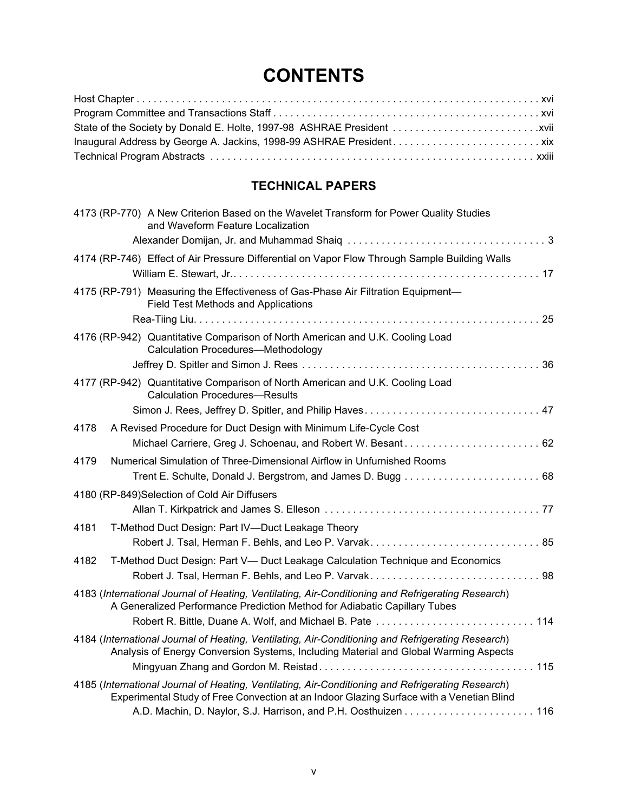# **CONTENTS**

## **TECHNICAL PAPERS**

| 4173 (RP-770) A New Criterion Based on the Wavelet Transform for Power Quality Studies<br>and Waveform Feature Localization                                                                   |  |
|-----------------------------------------------------------------------------------------------------------------------------------------------------------------------------------------------|--|
|                                                                                                                                                                                               |  |
| 4174 (RP-746) Effect of Air Pressure Differential on Vapor Flow Through Sample Building Walls                                                                                                 |  |
|                                                                                                                                                                                               |  |
| 4175 (RP-791) Measuring the Effectiveness of Gas-Phase Air Filtration Equipment-<br>Field Test Methods and Applications                                                                       |  |
|                                                                                                                                                                                               |  |
| 4176 (RP-942) Quantitative Comparison of North American and U.K. Cooling Load<br><b>Calculation Procedures-Methodology</b>                                                                    |  |
|                                                                                                                                                                                               |  |
| 4177 (RP-942) Quantitative Comparison of North American and U.K. Cooling Load<br><b>Calculation Procedures-Results</b>                                                                        |  |
|                                                                                                                                                                                               |  |
| 4178<br>A Revised Procedure for Duct Design with Minimum Life-Cycle Cost                                                                                                                      |  |
|                                                                                                                                                                                               |  |
| Numerical Simulation of Three-Dimensional Airflow in Unfurnished Rooms<br>4179                                                                                                                |  |
| 4180 (RP-849) Selection of Cold Air Diffusers                                                                                                                                                 |  |
|                                                                                                                                                                                               |  |
| 4181<br>T-Method Duct Design: Part IV-Duct Leakage Theory                                                                                                                                     |  |
|                                                                                                                                                                                               |  |
| T-Method Duct Design: Part V- Duct Leakage Calculation Technique and Economics<br>4182                                                                                                        |  |
|                                                                                                                                                                                               |  |
| 4183 (International Journal of Heating, Ventilating, Air-Conditioning and Refrigerating Research)<br>A Generalized Performance Prediction Method for Adiabatic Capillary Tubes                |  |
| Robert R. Bittle, Duane A. Wolf, and Michael B. Pate  114                                                                                                                                     |  |
| 4184 (International Journal of Heating, Ventilating, Air-Conditioning and Refrigerating Research)<br>Analysis of Energy Conversion Systems, Including Material and Global Warming Aspects     |  |
|                                                                                                                                                                                               |  |
| 4185 (International Journal of Heating, Ventilating, Air-Conditioning and Refrigerating Research)<br>Experimental Study of Free Convection at an Indoor Glazing Surface with a Venetian Blind |  |
|                                                                                                                                                                                               |  |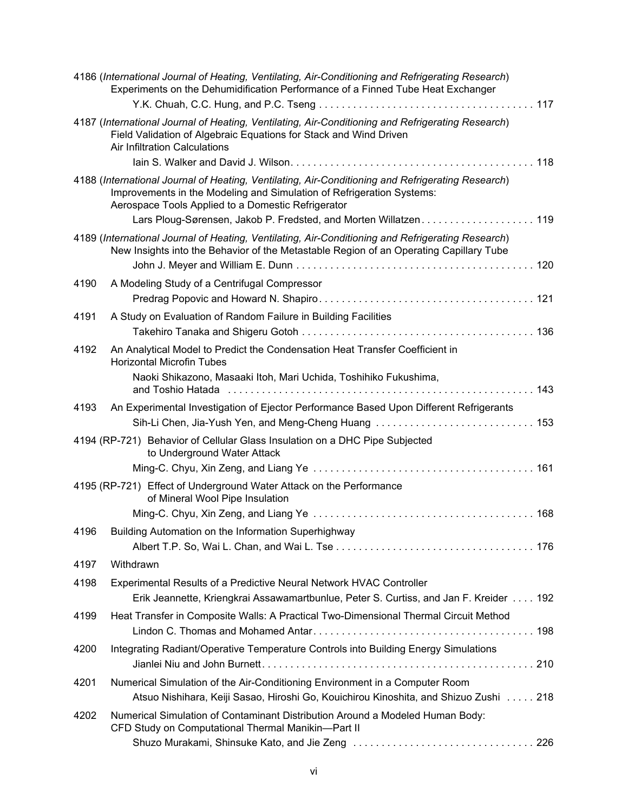|      | 4186 (International Journal of Heating, Ventilating, Air-Conditioning and Refrigerating Research)<br>Experiments on the Dehumidification Performance of a Finned Tube Heat Exchanger                                             |
|------|----------------------------------------------------------------------------------------------------------------------------------------------------------------------------------------------------------------------------------|
|      | 4187 (International Journal of Heating, Ventilating, Air-Conditioning and Refrigerating Research)<br>Field Validation of Algebraic Equations for Stack and Wind Driven<br>Air Infiltration Calculations                          |
|      | 4188 (International Journal of Heating, Ventilating, Air-Conditioning and Refrigerating Research)<br>Improvements in the Modeling and Simulation of Refrigeration Systems:<br>Aerospace Tools Applied to a Domestic Refrigerator |
|      | 4189 (International Journal of Heating, Ventilating, Air-Conditioning and Refrigerating Research)<br>New Insights into the Behavior of the Metastable Region of an Operating Capillary Tube                                      |
|      |                                                                                                                                                                                                                                  |
| 4190 | A Modeling Study of a Centrifugal Compressor                                                                                                                                                                                     |
|      |                                                                                                                                                                                                                                  |
| 4191 | A Study on Evaluation of Random Failure in Building Facilities                                                                                                                                                                   |
|      |                                                                                                                                                                                                                                  |
| 4192 | An Analytical Model to Predict the Condensation Heat Transfer Coefficient in<br><b>Horizontal Microfin Tubes</b>                                                                                                                 |
|      | Naoki Shikazono, Masaaki Itoh, Mari Uchida, Toshihiko Fukushima,                                                                                                                                                                 |
| 4193 | An Experimental Investigation of Ejector Performance Based Upon Different Refrigerants                                                                                                                                           |
|      | Sih-Li Chen, Jia-Yush Yen, and Meng-Cheng Huang  153                                                                                                                                                                             |
|      | 4194 (RP-721) Behavior of Cellular Glass Insulation on a DHC Pipe Subjected<br>to Underground Water Attack                                                                                                                       |
|      |                                                                                                                                                                                                                                  |
|      | 4195 (RP-721) Effect of Underground Water Attack on the Performance<br>of Mineral Wool Pipe Insulation                                                                                                                           |
|      |                                                                                                                                                                                                                                  |
|      | 4196 Building Automation on the Information Superhighway                                                                                                                                                                         |
|      |                                                                                                                                                                                                                                  |
| 4197 | Withdrawn                                                                                                                                                                                                                        |
| 4198 | Experimental Results of a Predictive Neural Network HVAC Controller<br>Erik Jeannette, Kriengkrai Assawamartbunlue, Peter S. Curtiss, and Jan F. Kreider 192                                                                     |
| 4199 | Heat Transfer in Composite Walls: A Practical Two-Dimensional Thermal Circuit Method                                                                                                                                             |
| 4200 | Integrating Radiant/Operative Temperature Controls into Building Energy Simulations                                                                                                                                              |
| 4201 | Numerical Simulation of the Air-Conditioning Environment in a Computer Room                                                                                                                                                      |
|      | Atsuo Nishihara, Keiji Sasao, Hiroshi Go, Kouichirou Kinoshita, and Shizuo Zushi 218                                                                                                                                             |
| 4202 | Numerical Simulation of Contaminant Distribution Around a Modeled Human Body:<br>CFD Study on Computational Thermal Manikin-Part II                                                                                              |
|      |                                                                                                                                                                                                                                  |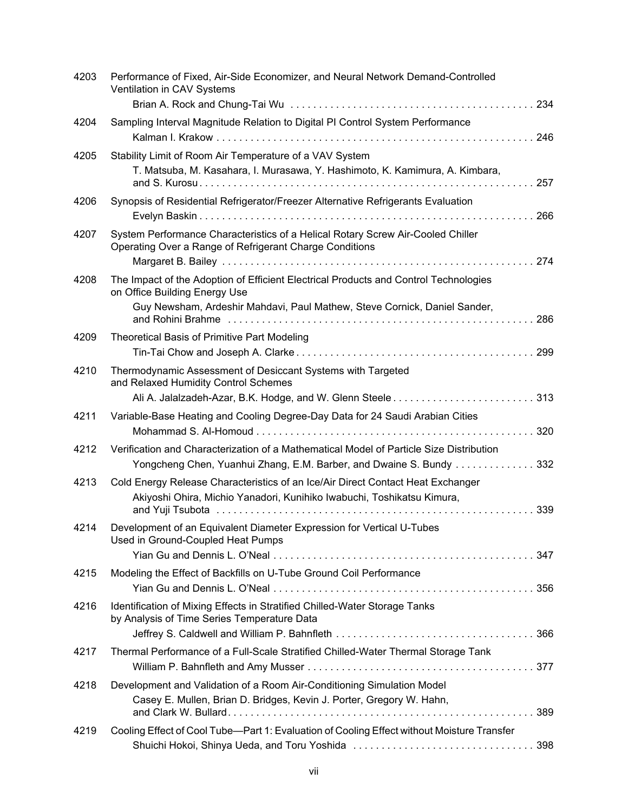| 4203 | Performance of Fixed, Air-Side Economizer, and Neural Network Demand-Controlled<br>Ventilation in CAV Systems                                                                                      |
|------|----------------------------------------------------------------------------------------------------------------------------------------------------------------------------------------------------|
| 4204 | Sampling Interval Magnitude Relation to Digital PI Control System Performance<br>246                                                                                                               |
| 4205 | Stability Limit of Room Air Temperature of a VAV System<br>T. Matsuba, M. Kasahara, I. Murasawa, Y. Hashimoto, K. Kamimura, A. Kimbara,<br>257                                                     |
| 4206 | Synopsis of Residential Refrigerator/Freezer Alternative Refrigerants Evaluation<br>266                                                                                                            |
| 4207 | System Performance Characteristics of a Helical Rotary Screw Air-Cooled Chiller<br>Operating Over a Range of Refrigerant Charge Conditions                                                         |
| 4208 | The Impact of the Adoption of Efficient Electrical Products and Control Technologies<br>on Office Building Energy Use<br>Guy Newsham, Ardeshir Mahdavi, Paul Mathew, Steve Cornick, Daniel Sander, |
| 4209 | Theoretical Basis of Primitive Part Modeling                                                                                                                                                       |
| 4210 | Thermodynamic Assessment of Desiccant Systems with Targeted<br>and Relaxed Humidity Control Schemes                                                                                                |
| 4211 | Variable-Base Heating and Cooling Degree-Day Data for 24 Saudi Arabian Cities                                                                                                                      |
| 4212 | Verification and Characterization of a Mathematical Model of Particle Size Distribution<br>Yongcheng Chen, Yuanhui Zhang, E.M. Barber, and Dwaine S. Bundy 332                                     |
| 4213 | Cold Energy Release Characteristics of an Ice/Air Direct Contact Heat Exchanger<br>Akiyoshi Ohira, Michio Yanadori, Kunihiko Iwabuchi, Toshikatsu Kimura,                                          |
| 4214 | Development of an Equivalent Diameter Expression for Vertical U-Tubes<br>Used in Ground-Coupled Heat Pumps                                                                                         |
| 4215 | Modeling the Effect of Backfills on U-Tube Ground Coil Performance                                                                                                                                 |
| 4216 | Identification of Mixing Effects in Stratified Chilled-Water Storage Tanks<br>by Analysis of Time Series Temperature Data                                                                          |
| 4217 | Thermal Performance of a Full-Scale Stratified Chilled-Water Thermal Storage Tank                                                                                                                  |
| 4218 | Development and Validation of a Room Air-Conditioning Simulation Model<br>Casey E. Mullen, Brian D. Bridges, Kevin J. Porter, Gregory W. Hahn,                                                     |
| 4219 | Cooling Effect of Cool Tube-Part 1: Evaluation of Cooling Effect without Moisture Transfer                                                                                                         |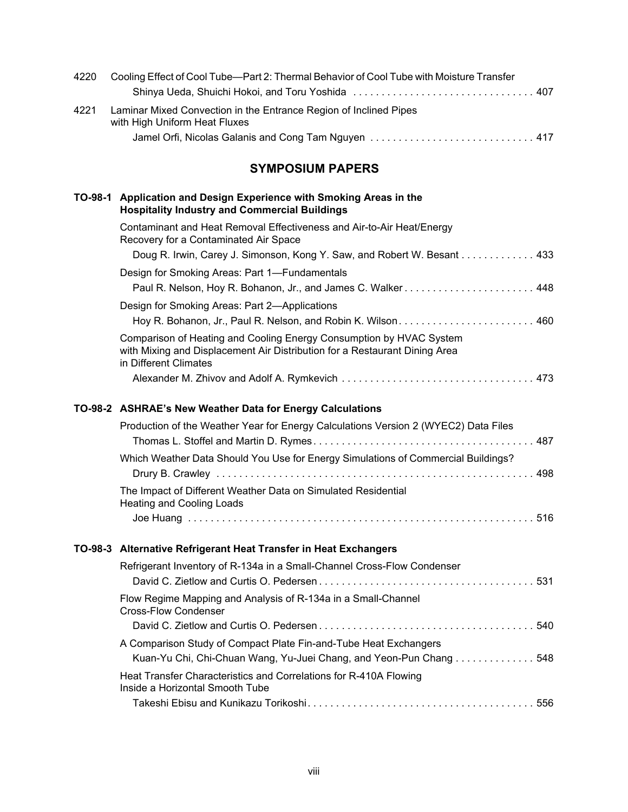| 4220 | Cooling Effect of Cool Tube—Part 2: Thermal Behavior of Cool Tube with Moisture Transfer           |  |
|------|----------------------------------------------------------------------------------------------------|--|
|      |                                                                                                    |  |
| 4221 | Laminar Mixed Convection in the Entrance Region of Inclined Pipes<br>with High Uniform Heat Fluxes |  |
|      |                                                                                                    |  |

## **SYMPOSIUM PAPERS**

| TO-98-1 Application and Design Experience with Smoking Areas in the<br><b>Hospitality Industry and Commercial Buildings</b>                                                |
|----------------------------------------------------------------------------------------------------------------------------------------------------------------------------|
| Contaminant and Heat Removal Effectiveness and Air-to-Air Heat/Energy<br>Recovery for a Contaminated Air Space                                                             |
| Doug R. Irwin, Carey J. Simonson, Kong Y. Saw, and Robert W. Besant 433                                                                                                    |
| Design for Smoking Areas: Part 1—Fundamentals                                                                                                                              |
|                                                                                                                                                                            |
| Design for Smoking Areas: Part 2—Applications                                                                                                                              |
|                                                                                                                                                                            |
| Comparison of Heating and Cooling Energy Consumption by HVAC System<br>with Mixing and Displacement Air Distribution for a Restaurant Dining Area<br>in Different Climates |
|                                                                                                                                                                            |

## **TO-98-2 ASHRAE's New Weather Data for Energy Calculations**

| Production of the Weather Year for Energy Calculations Version 2 (WYEC2) Data Files               |  |
|---------------------------------------------------------------------------------------------------|--|
|                                                                                                   |  |
| Which Weather Data Should You Use for Energy Simulations of Commercial Buildings?                 |  |
|                                                                                                   |  |
| The Impact of Different Weather Data on Simulated Residential<br><b>Heating and Cooling Loads</b> |  |
|                                                                                                   |  |

## **TO-98-3 Alternative Refrigerant Heat Transfer in Heat Exchangers**

| Refrigerant Inventory of R-134a in a Small-Channel Cross-Flow Condenser                                                                |  |
|----------------------------------------------------------------------------------------------------------------------------------------|--|
| Flow Regime Mapping and Analysis of R-134a in a Small-Channel<br><b>Cross-Flow Condenser</b>                                           |  |
|                                                                                                                                        |  |
| A Comparison Study of Compact Plate Fin-and-Tube Heat Exchangers<br>Kuan-Yu Chi, Chi-Chuan Wang, Yu-Juei Chang, and Yeon-Pun Chang 548 |  |
| Heat Transfer Characteristics and Correlations for R-410A Flowing<br>Inside a Horizontal Smooth Tube                                   |  |
|                                                                                                                                        |  |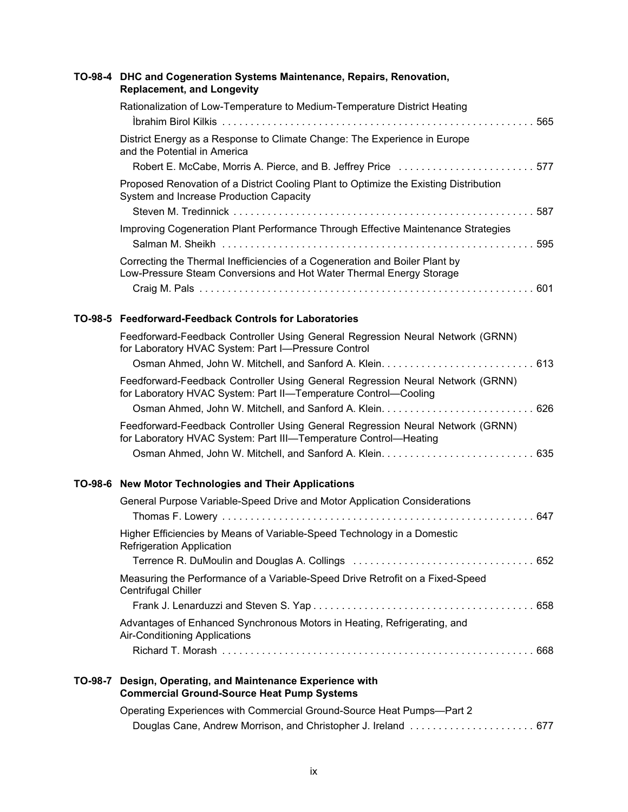| TO-98-4 DHC and Cogeneration Systems Maintenance, Repairs, Renovation,<br><b>Replacement, and Longevity</b>                                        |  |
|----------------------------------------------------------------------------------------------------------------------------------------------------|--|
| Rationalization of Low-Temperature to Medium-Temperature District Heating                                                                          |  |
| District Energy as a Response to Climate Change: The Experience in Europe<br>and the Potential in America                                          |  |
| Robert E. McCabe, Morris A. Pierce, and B. Jeffrey Price 577                                                                                       |  |
| Proposed Renovation of a District Cooling Plant to Optimize the Existing Distribution<br>System and Increase Production Capacity                   |  |
|                                                                                                                                                    |  |
| Improving Cogeneration Plant Performance Through Effective Maintenance Strategies                                                                  |  |
| Correcting the Thermal Inefficiencies of a Cogeneration and Boiler Plant by<br>Low-Pressure Steam Conversions and Hot Water Thermal Energy Storage |  |
|                                                                                                                                                    |  |
|                                                                                                                                                    |  |

#### **TO-98-5 Feedforward-Feedback Controls for Laboratories**

| Feedforward-Feedback Controller Using General Regression Neural Network (GRNN)<br>for Laboratory HVAC System: Part I-Pressure Control              |  |
|----------------------------------------------------------------------------------------------------------------------------------------------------|--|
|                                                                                                                                                    |  |
| Feedforward-Feedback Controller Using General Regression Neural Network (GRNN)<br>for Laboratory HVAC System: Part II-Temperature Control-Cooling  |  |
|                                                                                                                                                    |  |
| Feedforward-Feedback Controller Using General Regression Neural Network (GRNN)<br>for Laboratory HVAC System: Part III-Temperature Control-Heating |  |
|                                                                                                                                                    |  |

#### **TO-98-6 New Motor Technologies and Their Applications**

|         | General Purpose Variable-Speed Drive and Motor Application Considerations                                   |  |
|---------|-------------------------------------------------------------------------------------------------------------|--|
|         | Higher Efficiencies by Means of Variable-Speed Technology in a Domestic<br><b>Refrigeration Application</b> |  |
|         | Measuring the Performance of a Variable-Speed Drive Retrofit on a Fixed-Speed<br>Centrifugal Chiller        |  |
|         |                                                                                                             |  |
|         | Advantages of Enhanced Synchronous Motors in Heating, Refrigerating, and<br>Air-Conditioning Applications   |  |
|         |                                                                                                             |  |
| TO-98-7 | Design, Operating, and Maintenance Experience with<br><b>Commercial Ground-Source Heat Pump Systems</b>     |  |
|         | Operating Experiences with Commercial Ground-Source Heat Pumps-Part 2                                       |  |

Douglas Cane, Andrew Morrison, and Christopher J. Ireland . . . . . . . . . . . . . . . . . . . . . . 677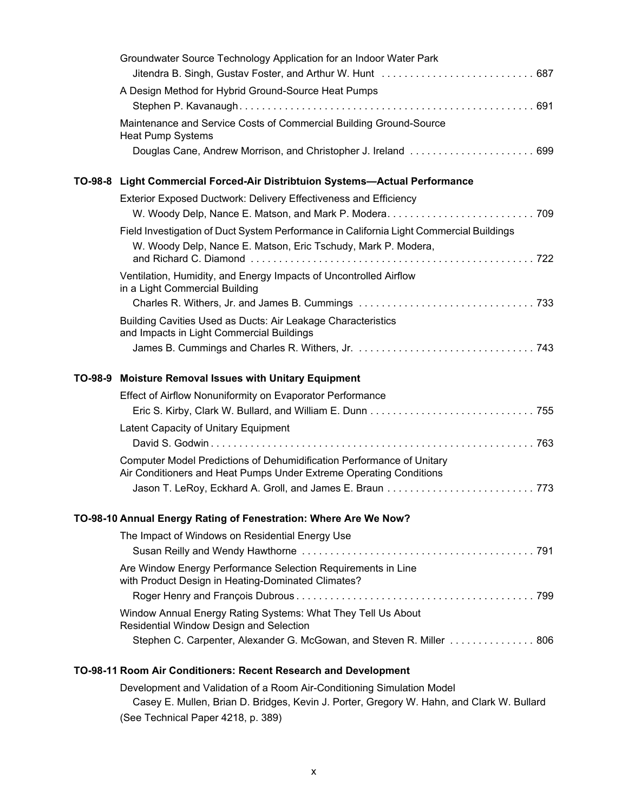|         | Groundwater Source Technology Application for an Indoor Water Park                                                                          |  |
|---------|---------------------------------------------------------------------------------------------------------------------------------------------|--|
|         | A Design Method for Hybrid Ground-Source Heat Pumps                                                                                         |  |
|         |                                                                                                                                             |  |
|         | Maintenance and Service Costs of Commercial Building Ground-Source<br><b>Heat Pump Systems</b>                                              |  |
|         |                                                                                                                                             |  |
|         | TO-98-8 Light Commercial Forced-Air Distribtuion Systems-Actual Performance                                                                 |  |
|         | Exterior Exposed Ductwork: Delivery Effectiveness and Efficiency                                                                            |  |
|         |                                                                                                                                             |  |
|         | Field Investigation of Duct System Performance in California Light Commercial Buildings                                                     |  |
|         | W. Woody Delp, Nance E. Matson, Eric Tschudy, Mark P. Modera,                                                                               |  |
|         | Ventilation, Humidity, and Energy Impacts of Uncontrolled Airflow<br>in a Light Commercial Building                                         |  |
|         |                                                                                                                                             |  |
|         | Building Cavities Used as Ducts: Air Leakage Characteristics<br>and Impacts in Light Commercial Buildings                                   |  |
|         |                                                                                                                                             |  |
|         |                                                                                                                                             |  |
| TO-98-9 | <b>Moisture Removal Issues with Unitary Equipment</b>                                                                                       |  |
|         | Effect of Airflow Nonuniformity on Evaporator Performance                                                                                   |  |
|         |                                                                                                                                             |  |
|         | Latent Capacity of Unitary Equipment                                                                                                        |  |
|         |                                                                                                                                             |  |
|         | Computer Model Predictions of Dehumidification Performance of Unitary<br>Air Conditioners and Heat Pumps Under Extreme Operating Conditions |  |
|         |                                                                                                                                             |  |
|         | TO-98-10 Annual Energy Rating of Fenestration: Where Are We Now?                                                                            |  |
|         | The Impact of Windows on Residential Energy Use                                                                                             |  |
|         |                                                                                                                                             |  |
|         | Are Window Energy Performance Selection Requirements in Line<br>with Product Design in Heating-Dominated Climates?                          |  |
|         |                                                                                                                                             |  |
|         | Window Annual Energy Rating Systems: What They Tell Us About<br>Residential Window Design and Selection                                     |  |
|         | Stephen C. Carpenter, Alexander G. McGowan, and Steven R. Miller 806                                                                        |  |

Development and Validation of a Room Air-Conditioning Simulation Model Casey E. Mullen, Brian D. Bridges, Kevin J. Porter, Gregory W. Hahn, and Clark W. Bullard (See Technical Paper 4218, p. 389)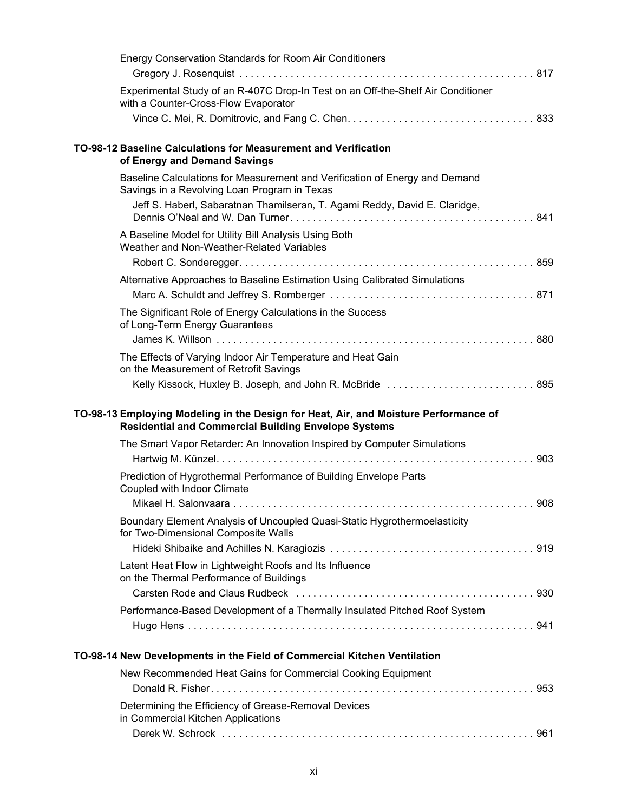| Energy Conservation Standards for Room Air Conditioners                                                                                             |
|-----------------------------------------------------------------------------------------------------------------------------------------------------|
|                                                                                                                                                     |
| Experimental Study of an R-407C Drop-In Test on an Off-the-Shelf Air Conditioner<br>with a Counter-Cross-Flow Evaporator                            |
|                                                                                                                                                     |
| TO-98-12 Baseline Calculations for Measurement and Verification<br>of Energy and Demand Savings                                                     |
| Baseline Calculations for Measurement and Verification of Energy and Demand<br>Savings in a Revolving Loan Program in Texas                         |
| Jeff S. Haberl, Sabaratnan Thamilseran, T. Agami Reddy, David E. Claridge,                                                                          |
| A Baseline Model for Utility Bill Analysis Using Both<br>Weather and Non-Weather-Related Variables                                                  |
|                                                                                                                                                     |
| Alternative Approaches to Baseline Estimation Using Calibrated Simulations                                                                          |
| The Significant Role of Energy Calculations in the Success                                                                                          |
| of Long-Term Energy Guarantees                                                                                                                      |
|                                                                                                                                                     |
| The Effects of Varying Indoor Air Temperature and Heat Gain<br>on the Measurement of Retrofit Savings                                               |
| Kelly Kissock, Huxley B. Joseph, and John R. McBride  895                                                                                           |
|                                                                                                                                                     |
| TO-98-13 Employing Modeling in the Design for Heat, Air, and Moisture Performance of<br><b>Residential and Commercial Building Envelope Systems</b> |
| The Smart Vapor Retarder: An Innovation Inspired by Computer Simulations                                                                            |
|                                                                                                                                                     |
| Prediction of Hygrothermal Performance of Building Envelope Parts<br>Coupled with Indoor Climate                                                    |
|                                                                                                                                                     |
| Boundary Element Analysis of Uncoupled Quasi-Static Hygrothermoelasticity<br>for Two-Dimensional Composite Walls                                    |
|                                                                                                                                                     |
| Latent Heat Flow in Lightweight Roofs and Its Influence<br>on the Thermal Performance of Buildings                                                  |
|                                                                                                                                                     |
| Performance-Based Development of a Thermally Insulated Pitched Roof System                                                                          |
|                                                                                                                                                     |
| TO-98-14 New Developments in the Field of Commercial Kitchen Ventilation                                                                            |
| New Recommended Heat Gains for Commercial Cooking Equipment                                                                                         |
| Determining the Efficiency of Grease-Removal Devices<br>in Commercial Kitchen Applications                                                          |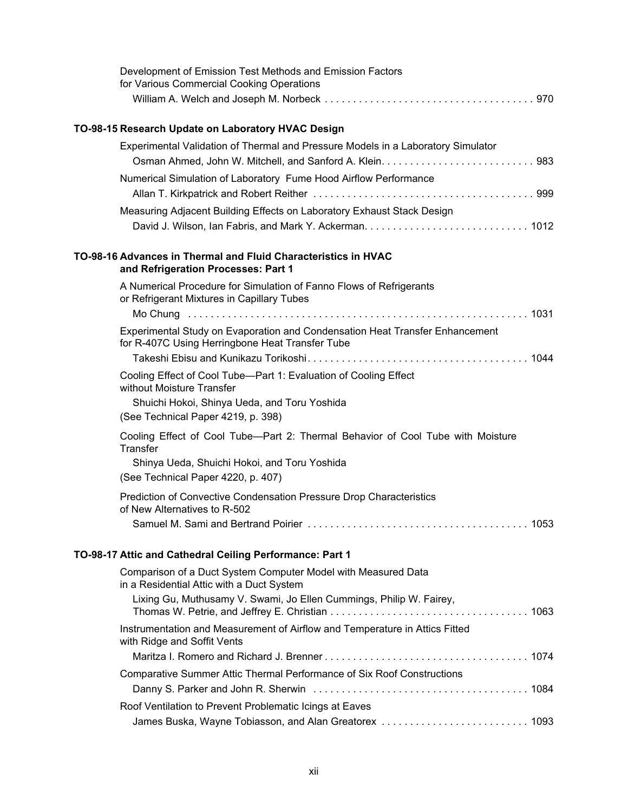|                              | Development of Emission Test Methods and Emission Factors<br>for Various Commercial Cooking Operations                          |  |
|------------------------------|---------------------------------------------------------------------------------------------------------------------------------|--|
|                              |                                                                                                                                 |  |
|                              | TO-98-15 Research Update on Laboratory HVAC Design                                                                              |  |
|                              | Experimental Validation of Thermal and Pressure Models in a Laboratory Simulator                                                |  |
|                              | Numerical Simulation of Laboratory Fume Hood Airflow Performance                                                                |  |
|                              | Measuring Adjacent Building Effects on Laboratory Exhaust Stack Design                                                          |  |
|                              | TO-98-16 Advances in Thermal and Fluid Characteristics in HVAC<br>and Refrigeration Processes: Part 1                           |  |
|                              | A Numerical Procedure for Simulation of Fanno Flows of Refrigerants<br>or Refrigerant Mixtures in Capillary Tubes               |  |
|                              |                                                                                                                                 |  |
|                              | Experimental Study on Evaporation and Condensation Heat Transfer Enhancement<br>for R-407C Using Herringbone Heat Transfer Tube |  |
|                              | Cooling Effect of Cool Tube-Part 1: Evaluation of Cooling Effect                                                                |  |
| without Moisture Transfer    | Shuichi Hokoi, Shinya Ueda, and Toru Yoshida                                                                                    |  |
|                              | (See Technical Paper 4219, p. 398)                                                                                              |  |
| <b>Transfer</b>              | Cooling Effect of Cool Tube-Part 2: Thermal Behavior of Cool Tube with Moisture                                                 |  |
|                              | Shinya Ueda, Shuichi Hokoi, and Toru Yoshida<br>(See Technical Paper 4220, p. 407)                                              |  |
| of New Alternatives to R-502 | Prediction of Convective Condensation Pressure Drop Characteristics                                                             |  |
|                              |                                                                                                                                 |  |
|                              | TO-98-17 Attic and Cathedral Ceiling Performance: Part 1                                                                        |  |
|                              | Comparison of a Duct System Computer Model with Measured Data<br>in a Residential Attic with a Duct System                      |  |
|                              | Lixing Gu, Muthusamy V. Swami, Jo Ellen Cummings, Philip W. Fairey,                                                             |  |
| with Ridge and Soffit Vents  | Instrumentation and Measurement of Airflow and Temperature in Attics Fitted                                                     |  |
|                              |                                                                                                                                 |  |
|                              | Comparative Summer Attic Thermal Performance of Six Roof Constructions                                                          |  |
|                              |                                                                                                                                 |  |

| Roof Ventilation to Prevent Problematic Icings at Eaves |  |
|---------------------------------------------------------|--|
|                                                         |  |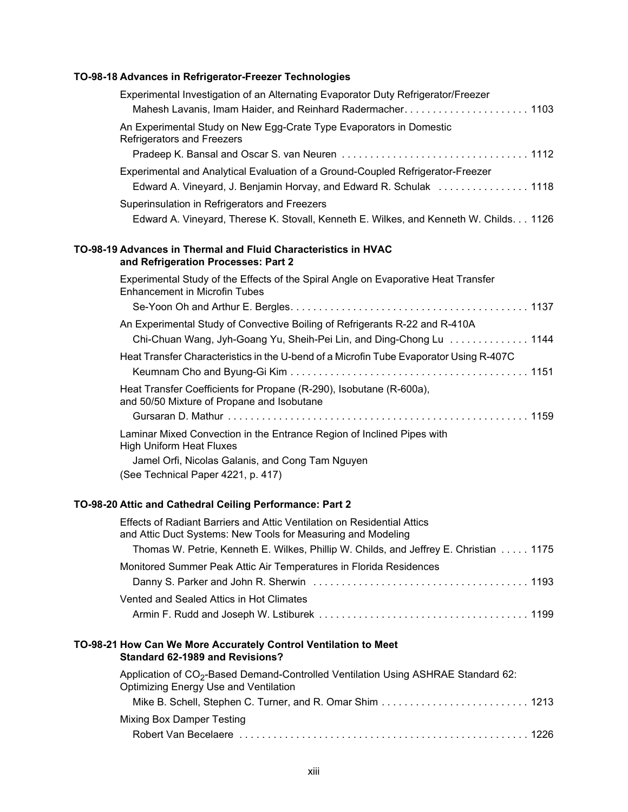#### **TO-98-18 Advances in Refrigerator-Freezer Technologies**

| Experimental Investigation of an Alternating Evaporator Duty Refrigerator/Freezer<br>Mahesh Lavanis, Imam Haider, and Reinhard Radermacher 1103 |
|-------------------------------------------------------------------------------------------------------------------------------------------------|
| An Experimental Study on New Egg-Crate Type Evaporators in Domestic<br>Refrigerators and Freezers                                               |
|                                                                                                                                                 |
| Experimental and Analytical Evaluation of a Ground-Coupled Refrigerator-Freezer                                                                 |
| Edward A. Vineyard, J. Benjamin Horvay, and Edward R. Schulak 1118                                                                              |
| Superinsulation in Refrigerators and Freezers                                                                                                   |
| Edward A. Vineyard, Therese K. Stovall, Kenneth E. Wilkes, and Kenneth W. Childs. 1126                                                          |
| TO-98-19 Advances in Thermal and Fluid Characteristics in HVAC<br>and Refrigeration Processes: Part 2                                           |
| Experimental Study of the Effects of the Spiral Angle on Evaporative Heat Transfer<br><b>Enhancement in Microfin Tubes</b>                      |
|                                                                                                                                                 |
| An Experimental Study of Convective Boiling of Refrigerants R-22 and R-410A                                                                     |
| Chi-Chuan Wang, Jyh-Goang Yu, Sheih-Pei Lin, and Ding-Chong Lu  1144                                                                            |
| Heat Transfer Characteristics in the U-bend of a Microfin Tube Evaporator Using R-407C                                                          |
|                                                                                                                                                 |
| Heat Transfer Coefficients for Propane (R-290), Isobutane (R-600a),<br>and 50/50 Mixture of Propane and Isobutane                               |
|                                                                                                                                                 |
| Laminar Mixed Convection in the Entrance Region of Inclined Pipes with<br><b>High Uniform Heat Fluxes</b>                                       |
| Jamel Orfi, Nicolas Galanis, and Cong Tam Nguyen<br>(See Technical Paper 4221, p. 417)                                                          |
|                                                                                                                                                 |

### **TO-98-20 Attic and Cathedral Ceiling Performance: Part 2**

| Effects of Radiant Barriers and Attic Ventilation on Residential Attics<br>and Attic Duct Systems: New Tools for Measuring and Modeling |  |
|-----------------------------------------------------------------------------------------------------------------------------------------|--|
| Thomas W. Petrie, Kenneth E. Wilkes, Phillip W. Childs, and Jeffrey E. Christian 1175                                                   |  |
| Monitored Summer Peak Attic Air Temperatures in Florida Residences                                                                      |  |
|                                                                                                                                         |  |
| Vented and Sealed Attics in Hot Climates                                                                                                |  |
|                                                                                                                                         |  |

#### **TO-98-21 How Can We More Accurately Control Ventilation to Meet Standard 62-1989 and Revisions?**

| Application of CO <sub>2</sub> -Based Demand-Controlled Ventilation Using ASHRAE Standard 62:<br>Optimizing Energy Use and Ventilation |  |
|----------------------------------------------------------------------------------------------------------------------------------------|--|
|                                                                                                                                        |  |
| Mixing Box Damper Testing                                                                                                              |  |
|                                                                                                                                        |  |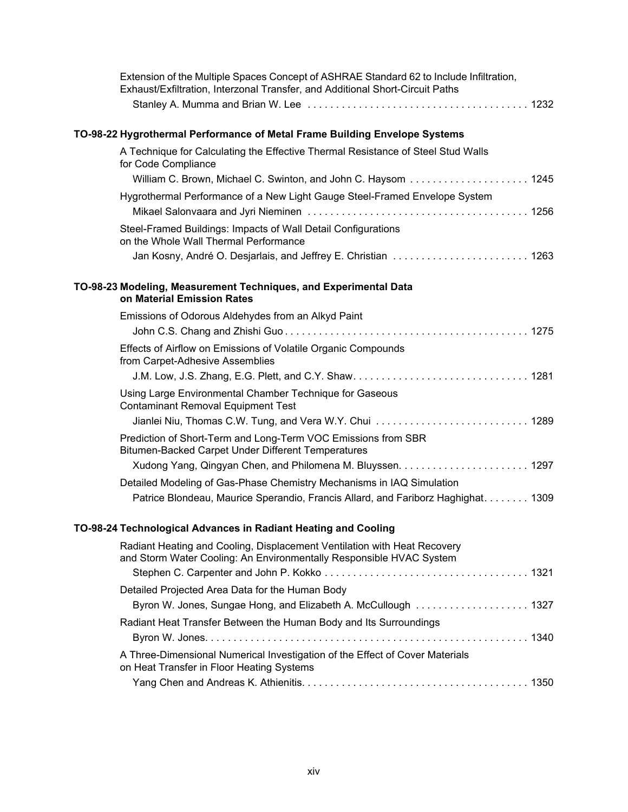| Extension of the Multiple Spaces Concept of ASHRAE Standard 62 to Include Infiltration,<br>Exhaust/Exfiltration, Interzonal Transfer, and Additional Short-Circuit Paths |
|--------------------------------------------------------------------------------------------------------------------------------------------------------------------------|
|                                                                                                                                                                          |
| TO-98-22 Hygrothermal Performance of Metal Frame Building Envelope Systems                                                                                               |
| A Technique for Calculating the Effective Thermal Resistance of Steel Stud Walls<br>for Code Compliance                                                                  |
| William C. Brown, Michael C. Swinton, and John C. Haysom 1245                                                                                                            |
| Hygrothermal Performance of a New Light Gauge Steel-Framed Envelope System                                                                                               |
| Steel-Framed Buildings: Impacts of Wall Detail Configurations<br>on the Whole Wall Thermal Performance                                                                   |
| Jan Kosny, André O. Desjarlais, and Jeffrey E. Christian  1263                                                                                                           |
| TO-98-23 Modeling, Measurement Techniques, and Experimental Data<br>on Material Emission Rates                                                                           |
| Emissions of Odorous Aldehydes from an Alkyd Paint                                                                                                                       |
|                                                                                                                                                                          |
| Effects of Airflow on Emissions of Volatile Organic Compounds<br>from Carpet-Adhesive Assemblies                                                                         |
|                                                                                                                                                                          |
| Using Large Environmental Chamber Technique for Gaseous<br><b>Contaminant Removal Equipment Test</b>                                                                     |
|                                                                                                                                                                          |
| Prediction of Short-Term and Long-Term VOC Emissions from SBR<br>Bitumen-Backed Carpet Under Different Temperatures                                                      |
|                                                                                                                                                                          |
| Detailed Modeling of Gas-Phase Chemistry Mechanisms in IAQ Simulation                                                                                                    |
| Patrice Blondeau, Maurice Sperandio, Francis Allard, and Fariborz Haghighat 1309                                                                                         |
| TO-98-24 Technological Advances in Radiant Heating and Cooling                                                                                                           |
| Radiant Heating and Cooling, Displacement Ventilation with Heat Recovery<br>and Storm Water Cooling: An Environmentally Responsible HVAC System                          |
|                                                                                                                                                                          |
| Detailed Projected Area Data for the Human Body                                                                                                                          |
| Byron W. Jones, Sungae Hong, and Elizabeth A. McCullough 1327                                                                                                            |
| Radiant Heat Transfer Between the Human Body and Its Surroundings                                                                                                        |
|                                                                                                                                                                          |

| on Heat Transfer in Floor Heating Systems |  |
|-------------------------------------------|--|
|                                           |  |

A Three-Dimensional Numerical Investigation of the Effect of Cover Materials